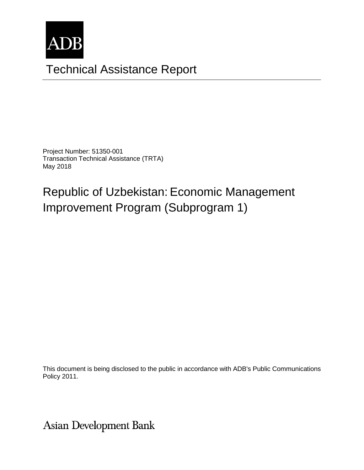

# Technical Assistance Report

Project Number: 51350-001 Transaction Technical Assistance (TRTA) May 2018

Republic of Uzbekistan: Economic Management Improvement Program (Subprogram 1)

This document is being disclosed to the public in accordance with ADB's Public Communications Policy 2011.

**Asian Development Bank**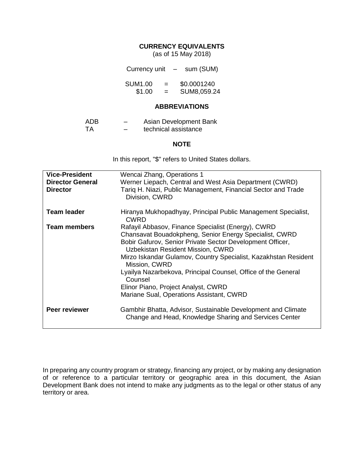#### **CURRENCY EQUIVALENTS**

(as of 15 May 2018)

| Currency unit  |     | $\overline{\phantom{m}}$ | sum (SUM)   |
|----------------|-----|--------------------------|-------------|
| <b>SUM1.00</b> | $=$ |                          | \$0.0001240 |
| \$1.00         | $=$ |                          | SUM8,059.24 |

#### **ABBREVIATIONS**

| ADB. | _ | Asian Development Bank |
|------|---|------------------------|
| TА   | _ | technical assistance   |

#### **NOTE**

In this report, "\$" refers to United States dollars.

| <b>Vice-President</b>   | Wencai Zhang, Operations 1                                                                                                                                                                                                                                                                                                                                                                                                                                        |
|-------------------------|-------------------------------------------------------------------------------------------------------------------------------------------------------------------------------------------------------------------------------------------------------------------------------------------------------------------------------------------------------------------------------------------------------------------------------------------------------------------|
| <b>Director General</b> | Werner Liepach, Central and West Asia Department (CWRD)                                                                                                                                                                                                                                                                                                                                                                                                           |
| <b>Director</b>         | Tariq H. Niazi, Public Management, Financial Sector and Trade<br>Division, CWRD                                                                                                                                                                                                                                                                                                                                                                                   |
| <b>Team leader</b>      | Hiranya Mukhopadhyay, Principal Public Management Specialist,<br><b>CWRD</b>                                                                                                                                                                                                                                                                                                                                                                                      |
| <b>Team members</b>     | Rafayil Abbasov, Finance Specialist (Energy), CWRD<br>Chansavat Bouadokpheng, Senior Energy Specialist, CWRD<br>Bobir Gafurov, Senior Private Sector Development Officer,<br>Uzbekistan Resident Mission, CWRD<br>Mirzo Iskandar Gulamov, Country Specialist, Kazakhstan Resident<br>Mission, CWRD<br>Lyailya Nazarbekova, Principal Counsel, Office of the General<br>Counsel<br>Elinor Piano, Project Analyst, CWRD<br>Mariane Sual, Operations Assistant, CWRD |
| Peer reviewer           | Gambhir Bhatta, Advisor, Sustainable Development and Climate<br>Change and Head, Knowledge Sharing and Services Center                                                                                                                                                                                                                                                                                                                                            |

In preparing any country program or strategy, financing any project, or by making any designation of or reference to a particular territory or geographic area in this document, the Asian Development Bank does not intend to make any judgments as to the legal or other status of any territory or area.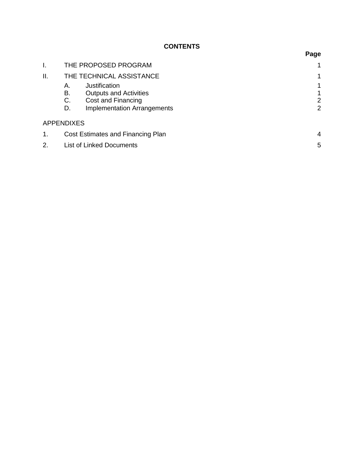#### **CONTENTS**

|     | THE PROPOSED PROGRAM |                                    | 1              |
|-----|----------------------|------------------------------------|----------------|
| ΙΙ. |                      | THE TECHNICAL ASSISTANCE           | 1              |
|     | А.                   | Justification                      | 1              |
|     | В.                   | <b>Outputs and Activities</b>      | $\mathbf 1$    |
|     | C.                   | Cost and Financing                 | $\overline{2}$ |
|     | D.                   | <b>Implementation Arrangements</b> | $\overline{2}$ |
|     | <b>APPENDIXES</b>    |                                    |                |
| 1.  |                      | Cost Estimates and Financing Plan  | 4              |
| 2.  |                      | <b>List of Linked Documents</b>    | 5              |

**Page**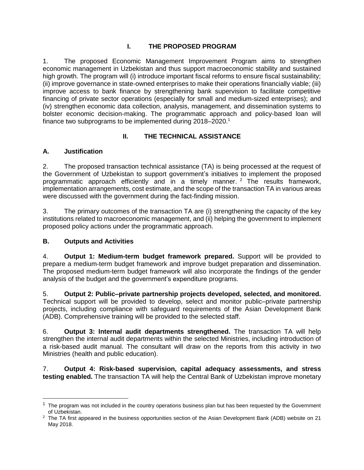#### **I. THE PROPOSED PROGRAM**

1. The proposed Economic Management Improvement Program aims to strengthen economic management in Uzbekistan and thus support macroeconomic stability and sustained high growth. The program will (i) introduce important fiscal reforms to ensure fiscal sustainability; (ii) improve governance in state-owned enterprises to make their operations financially viable; (iii) improve access to bank finance by strengthening bank supervision to facilitate competitive financing of private sector operations (especially for small and medium-sized enterprises); and (iv) strengthen economic data collection, analysis, management, and dissemination systems to bolster economic decision-making. The programmatic approach and policy-based loan will finance two subprograms to be implemented during 2018–2020.<sup>1</sup>

#### **II. THE TECHNICAL ASSISTANCE**

#### **A. Justification**

2. The proposed transaction technical assistance (TA) is being processed at the request of the Government of Uzbekistan to support government's initiatives to implement the proposed programmatic approach efficiently and in a timely manner. <sup>2</sup> The results framework, implementation arrangements, cost estimate, and the scope of the transaction TA in various areas were discussed with the government during the fact-finding mission.

3. The primary outcomes of the transaction TA are (i) strengthening the capacity of the key institutions related to macroeconomic management, and (ii) helping the government to implement proposed policy actions under the programmatic approach.

#### **B. Outputs and Activities**

4. **Output 1: Medium-term budget framework prepared.** Support will be provided to prepare a medium-term budget framework and improve budget preparation and dissemination. The proposed medium-term budget framework will also incorporate the findings of the gender analysis of the budget and the government's expenditure programs.

5. **Output 2: Public–private partnership projects developed, selected, and monitored.** Technical support will be provided to develop, select and monitor public–private partnership projects, including compliance with safeguard requirements of the Asian Development Bank (ADB). Comprehensive training will be provided to the selected staff.

6. **Output 3: Internal audit departments strengthened.** The transaction TA will help strengthen the internal audit departments within the selected Ministries, including introduction of a risk-based audit manual. The consultant will draw on the reports from this activity in two Ministries (health and public education).

7. **Output 4: Risk-based supervision, capital adequacy assessments, and stress testing enabled.** The transaction TA will help the Central Bank of Uzbekistan improve monetary

<sup>1</sup> The program was not included in the country operations business plan but has been requested by the Government of Uzbekistan.

<sup>&</sup>lt;sup>2</sup> The TA first appeared in the business opportunities section of the Asian Development Bank (ADB) website on 21 May 2018.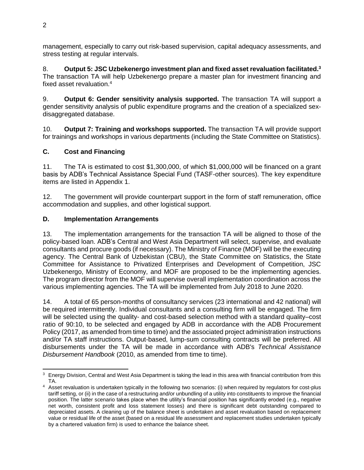management, especially to carry out risk-based supervision, capital adequacy assessments, and stress testing at regular intervals.

8. **Output 5: JSC Uzbekenergo investment plan and fixed asset revaluation facilitated. 3** The transaction TA will help Uzbekenergo prepare a master plan for investment financing and fixed asset revaluation.<sup>4</sup>

9. **Output 6: Gender sensitivity analysis supported.** The transaction TA will support a gender sensitivity analysis of public expenditure programs and the creation of a specialized sexdisaggregated database.

10. **Output 7: Training and workshops supported.** The transaction TA will provide support for trainings and workshops in various departments (including the State Committee on Statistics).

#### **C. Cost and Financing**

11. The TA is estimated to cost \$1,300,000, of which \$1,000,000 will be financed on a grant basis by ADB's Technical Assistance Special Fund (TASF-other sources). The key expenditure items are listed in Appendix 1.

12. The government will provide counterpart support in the form of staff remuneration, office accommodation and supplies, and other logistical support.

#### **D. Implementation Arrangements**

13. The implementation arrangements for the transaction TA will be aligned to those of the policy-based loan. ADB's Central and West Asia Department will select, supervise, and evaluate consultants and procure goods (if necessary). The Ministry of Finance (MOF) will be the executing agency. The Central Bank of Uzbekistan (CBU), the State Committee on Statistics, the State Committee for Assistance to Privatized Enterprises and Development of Competition, JSC Uzbekenergo, Ministry of Economy, and MOF are proposed to be the implementing agencies. The program director from the MOF will supervise overall implementation coordination across the various implementing agencies. The TA will be implemented from July 2018 to June 2020.

14. A total of 65 person-months of consultancy services (23 international and 42 national) will be required intermittently. Individual consultants and a consulting firm will be engaged. The firm will be selected using the quality- and cost-based selection method with a standard quality–cost ratio of 90:10, to be selected and engaged by ADB in accordance with the ADB Procurement Policy (2017, as amended from time to time) and the associated project administration instructions and/or TA staff instructions. Output-based, lump-sum consulting contracts will be preferred. All disbursements under the TA will be made in accordance with ADB's *Technical Assistance Disbursement Handbook* (2010, as amended from time to time).

 $\overline{a}$  $3$  Energy Division, Central and West Asia Department is taking the lead in this area with financial contribution from this TA.

<sup>4</sup> Asset revaluation is undertaken typically in the following two scenarios: (i) when required by regulators for cost-plus tariff setting, or (ii) in the case of a restructuring and/or unbundling of a utility into constituents to improve the financial position. The latter scenario takes place when the utility's financial position has significantly eroded (e.g., negative net worth, consistent profit and loss statement losses) and there is significant debt outstanding compared to depreciated assets. A cleaning up of the balance sheet is undertaken and asset revaluation based on replacement value or residual life of the asset (based on a residual life assessment and replacement studies undertaken typically by a chartered valuation firm) is used to enhance the balance sheet.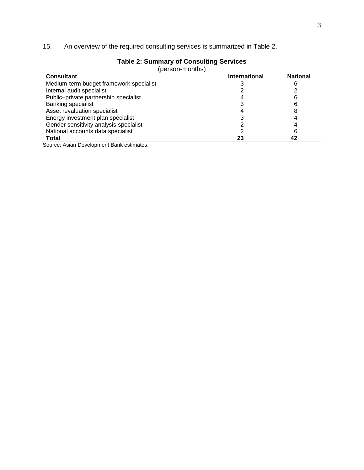### 15. An overview of the required consulting services is summarized in Table 2.

| (person-months)                         |                      |                 |  |
|-----------------------------------------|----------------------|-----------------|--|
| <b>Consultant</b>                       | <b>International</b> | <b>National</b> |  |
| Medium-term budget framework specialist |                      |                 |  |
| Internal audit specialist               |                      |                 |  |
| Public-private partnership specialist   |                      |                 |  |
| Banking specialist                      |                      |                 |  |
| Asset revaluation specialist            |                      | 8               |  |
| Energy investment plan specialist       |                      |                 |  |
| Gender sensitivity analysis specialist  |                      |                 |  |
| National accounts data specialist       |                      |                 |  |
| <b>Total</b>                            | 23                   |                 |  |

## **Table 2: Summary of Consulting Services**

Source: Asian Development Bank estimates.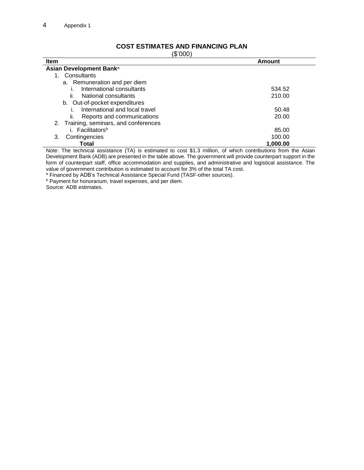| O UUU J                                |          |
|----------------------------------------|----------|
| <b>Item</b>                            | Amount   |
| Asian Development Bank <sup>a</sup>    |          |
| 1. Consultants                         |          |
| a. Remuneration and per diem           |          |
| International consultants              | 534.52   |
| National consultants<br>ii.            | 210.00   |
| b. Out-of-pocket expenditures          |          |
| International and local travel         | 50.48    |
| ii.<br>Reports and communications      | 20.00    |
| 2. Training, seminars, and conferences |          |
| i. Facilitators <sup>b</sup>           | 85.00    |
| Contingencies<br>3.                    | 100.00   |
| Total                                  | 1,000.00 |

#### **COST ESTIMATES AND FINANCING PLAN**  $(0,00)$

Note: The technical assistance (TA) is estimated to cost \$1.3 million, of which contributions from the Asian Development Bank (ADB) are presented in the table above. The government will provide counterpart support in the form of counterpart staff, office accommodation and supplies, and administrative and logistical assistance. The value of government contribution is estimated to account for 3% of the total TA cost.

a Financed by ADB's Technical Assistance Special Fund (TASF-other sources).

**b** Payment for honorarium, travel expenses, and per diem.

Source: ADB estimates.